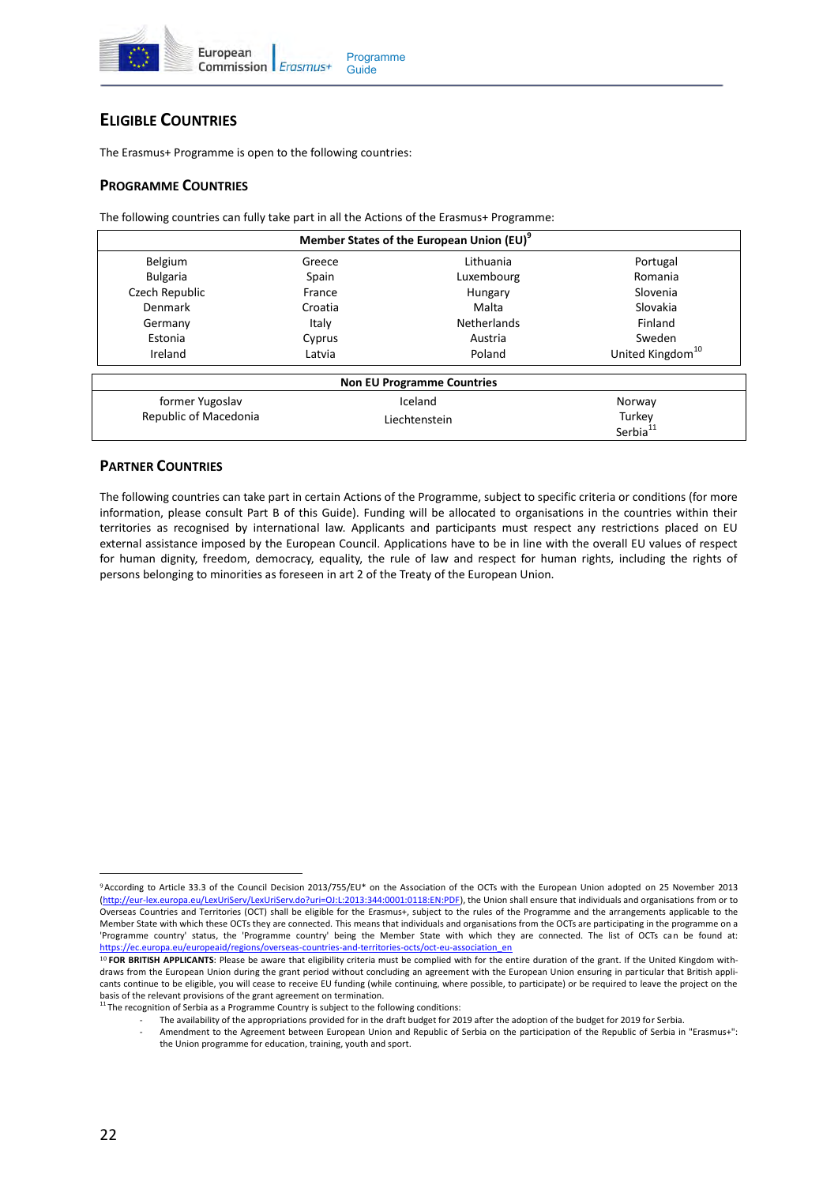

# **ELIGIBLE COUNTRIES**

The Erasmus+ Programme is open to the following countries:

# **PROGRAMME COUNTRIES**

The following countries can fully take part in all the Actions of the Erasmus+ Programme:

| Member States of the European Union (EU) <sup>9</sup> |               |                                   |                              |  |  |
|-------------------------------------------------------|---------------|-----------------------------------|------------------------------|--|--|
| Belgium                                               | Greece        | Lithuania                         | Portugal                     |  |  |
| <b>Bulgaria</b>                                       | Spain         | Luxembourg                        | Romania                      |  |  |
| Czech Republic                                        | France        | Hungary                           | Slovenia                     |  |  |
| Denmark                                               | Croatia       | Malta                             | Slovakia                     |  |  |
| Germany                                               | Italy         | <b>Netherlands</b>                | Finland                      |  |  |
| Estonia                                               | Cyprus        | Austria                           | Sweden                       |  |  |
| Ireland                                               | Latvia        | Poland                            | United Kingdom <sup>10</sup> |  |  |
|                                                       |               | <b>Non EU Programme Countries</b> |                              |  |  |
| former Yugoslav                                       | Iceland       |                                   | Norway                       |  |  |
| Republic of Macedonia                                 | Liechtenstein |                                   | Turkey                       |  |  |
|                                                       |               |                                   | Serbia <sup>11</sup>         |  |  |

## **PARTNER COUNTRIES**

The following countries can take part in certain Actions of the Programme, subject to specific criteria or conditions (for more information, please consult Part B of this Guide). Funding will be allocated to organisations in the countries within their territories as recognised by international law. Applicants and participants must respect any restrictions placed on EU external assistance imposed by the European Council. Applications have to be in line with the overall EU values of respect for human dignity, freedom, democracy, equality, the rule of law and respect for human rights, including the rights of persons belonging to minorities as foreseen in art 2 of the Treaty of the European Union.

 $\overline{a}$ <sup>9</sup>According to Article 33.3 of the Council Decision 2013/755/EU\* on the Association of the OCTs with the European Union adopted on 25 November 2013 (http://eur-[lex.europa.eu/LexUriServ/LexUriServ.do?uri=OJ:L:2013:344:0001:0118:EN:PDF\)](http://eur-lex.europa.eu/LexUriServ/LexUriServ.do?uri=OJ:L:2013:344:0001:0118:EN:PDF), the Union shall ensure that individuals and organisations from or to Overseas Countries and Territories (OCT) shall be eligible for the Erasmus+, subject to the rules of the Programme and the arrangements applicable to the Member State with which these OCTs they are connected. This means that individuals and organisations from the OCTs are participating in the programme on a 'Programme country' status, the 'Programme country' being the Member State with which they are connected. The list of OCTs can be found at: [https://ec.europa.eu/europeaid/regions/overseas](https://ec.europa.eu/europeaid/regions/overseas-countries-and-territories-octs/oct-eu-association_en)-countries-and-territories-octs/oct-eu-association\_en

<sup>10</sup> **FOR BRITISH APPLICANTS**: Please be aware that eligibility criteria must be complied with for the entire duration of the grant. If the United Kingdom withdraws from the European Union during the grant period without concluding an agreement with the European Union ensuring in particular that British applicants continue to be eligible, you will cease to receive EU funding (while continuing, where possible, to participate) or be required to leave the project on the basis of the relevant provisions of the grant agreement on termination.

<sup>&</sup>lt;sup>11</sup> The recognition of Serbia as a Programme Country is subject to the following conditions:

The availability of the appropriations provided for in the draft budget for 2019 after the adoption of the budget for 2019 for Serbia.

<sup>-</sup> Amendment to the Agreement between European Union and Republic of Serbia on the participation of the Republic of Serbia in "Erasmus+": the Union programme for education, training, youth and sport.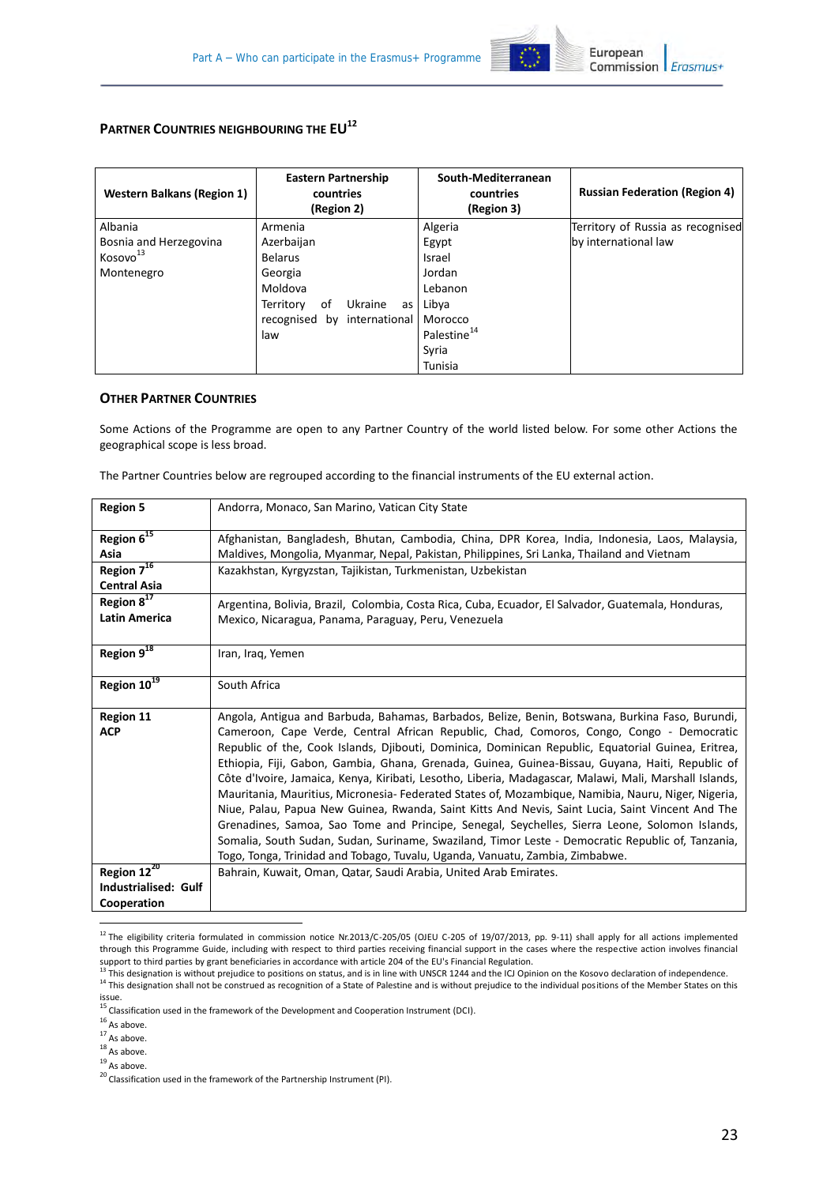

# **PARTNER COUNTRIES NEIGHBOURING THE EU<sup>12</sup>**

| <b>Western Balkans (Region 1)</b> | <b>Eastern Partnership</b><br>countries<br>(Region 2) | South-Mediterranean<br>countries<br>(Region 3) | <b>Russian Federation (Region 4)</b> |
|-----------------------------------|-------------------------------------------------------|------------------------------------------------|--------------------------------------|
| Albania                           | Armenia                                               | Algeria                                        | Territory of Russia as recognised    |
| Bosnia and Herzegovina            | Azerbaijan                                            | Egypt                                          | by international law                 |
| Kosovo <sup>13</sup>              | <b>Belarus</b>                                        | Israel                                         |                                      |
| Montenegro                        | Georgia                                               | Jordan                                         |                                      |
|                                   | Moldova                                               | Lebanon                                        |                                      |
|                                   | Ukraine<br>Territory<br>οf<br>as                      | Libya                                          |                                      |
|                                   | by international<br>recognised                        | Morocco                                        |                                      |
|                                   | law                                                   | Palestine <sup>14</sup>                        |                                      |
|                                   |                                                       | Syria                                          |                                      |
|                                   |                                                       | Tunisia                                        |                                      |

#### **OTHER PARTNER COUNTRIES**

Some Actions of the Programme are open to any Partner Country of the world listed below. For some other Actions the geographical scope is less broad.

The Partner Countries below are regrouped according to the financial instruments of the EU external action.

| <b>Region 5</b>             | Andorra, Monaco, San Marino, Vatican City State                                                        |
|-----------------------------|--------------------------------------------------------------------------------------------------------|
| Region 6 <sup>15</sup>      | Afghanistan, Bangladesh, Bhutan, Cambodia, China, DPR Korea, India, Indonesia, Laos, Malaysia,         |
| Asia                        | Maldives, Mongolia, Myanmar, Nepal, Pakistan, Philippines, Sri Lanka, Thailand and Vietnam             |
| Region $7^{16}$             | Kazakhstan, Kyrgyzstan, Tajikistan, Turkmenistan, Uzbekistan                                           |
| <b>Central Asia</b>         |                                                                                                        |
| Region 8 <sup>17</sup>      | Argentina, Bolivia, Brazil, Colombia, Costa Rica, Cuba, Ecuador, El Salvador, Guatemala, Honduras,     |
| <b>Latin America</b>        | Mexico, Nicaragua, Panama, Paraguay, Peru, Venezuela                                                   |
| Region $9^{18}$             | Iran, Iraq, Yemen                                                                                      |
| Region 10 <sup>19</sup>     | South Africa                                                                                           |
| <b>Region 11</b>            | Angola, Antigua and Barbuda, Bahamas, Barbados, Belize, Benin, Botswana, Burkina Faso, Burundi,        |
| <b>ACP</b>                  | Cameroon, Cape Verde, Central African Republic, Chad, Comoros, Congo, Congo - Democratic               |
|                             | Republic of the, Cook Islands, Djibouti, Dominica, Dominican Republic, Equatorial Guinea, Eritrea,     |
|                             | Ethiopia, Fiji, Gabon, Gambia, Ghana, Grenada, Guinea, Guinea-Bissau, Guyana, Haiti, Republic of       |
|                             | Côte d'Ivoire, Jamaica, Kenya, Kiribati, Lesotho, Liberia, Madagascar, Malawi, Mali, Marshall Islands, |
|                             | Mauritania, Mauritius, Micronesia- Federated States of, Mozambique, Namibia, Nauru, Niger, Nigeria,    |
|                             | Niue, Palau, Papua New Guinea, Rwanda, Saint Kitts And Nevis, Saint Lucia, Saint Vincent And The       |
|                             | Grenadines, Samoa, Sao Tome and Principe, Senegal, Seychelles, Sierra Leone, Solomon Islands,          |
|                             | Somalia, South Sudan, Sudan, Suriname, Swaziland, Timor Leste - Democratic Republic of, Tanzania,      |
|                             | Togo, Tonga, Trinidad and Tobago, Tuvalu, Uganda, Vanuatu, Zambia, Zimbabwe.                           |
| Region 12 <sup>20</sup>     | Bahrain, Kuwait, Oman, Qatar, Saudi Arabia, United Arab Emirates.                                      |
| <b>Industrialised: Gulf</b> |                                                                                                        |
| Cooperation                 |                                                                                                        |
|                             |                                                                                                        |
|                             |                                                                                                        |

 $^{12}$  The eligibility criteria formulated in commission notice Nr.2013/C-205/05 (OJEU C-205 of 19/07/2013, pp. 9-11) shall apply for all actions implemented through this Programme Guide, including with respect to third parties receiving financial support in the cases where the respective action involves financial support to third parties by grant beneficiaries in accordance with article 204 of the EU's Financial Regulation.

 $19$  As above.

<sup>&</sup>lt;sup>13</sup> This designation is without prejudice to positions on status, and is in line with UNSCR 1244 and the ICJ Opinion on the Kosovo declaration of independence.  $^{14}$  This designation shall not be construed as recognition of a State of Palestine and is without prejudice to the individual positions of the Member States on this issue.

<sup>15</sup> Classification used in the framework of the Development and Cooperation Instrument (DCI).

 $16$  As above.

 $17$  As above.

 $18$  As above.

 $^{20}$  Classification used in the framework of the Partnership Instrument (PI).